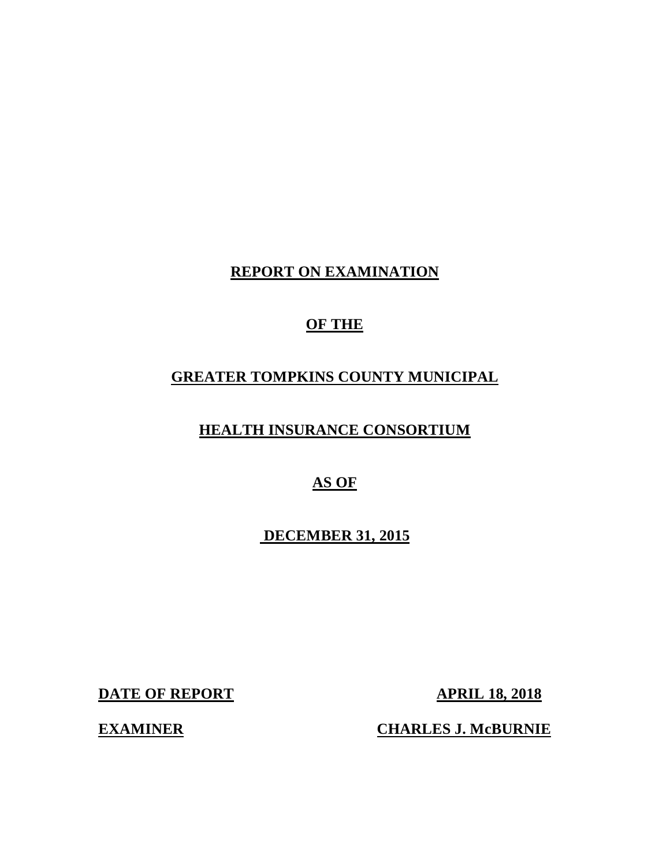## **REPORT ON EXAMINATION**

## **OF THE**

## **GREATER TOMPKINS COUNTY MUNICIPAL**

## **HEALTH INSURANCE CONSORTIUM**

## **AS OF**

## **DECEMBER 31, 2015**

**DATE OF REPORT APRIL 18, 2018** 

**EXAMINER CHARLES J. McBURNIE**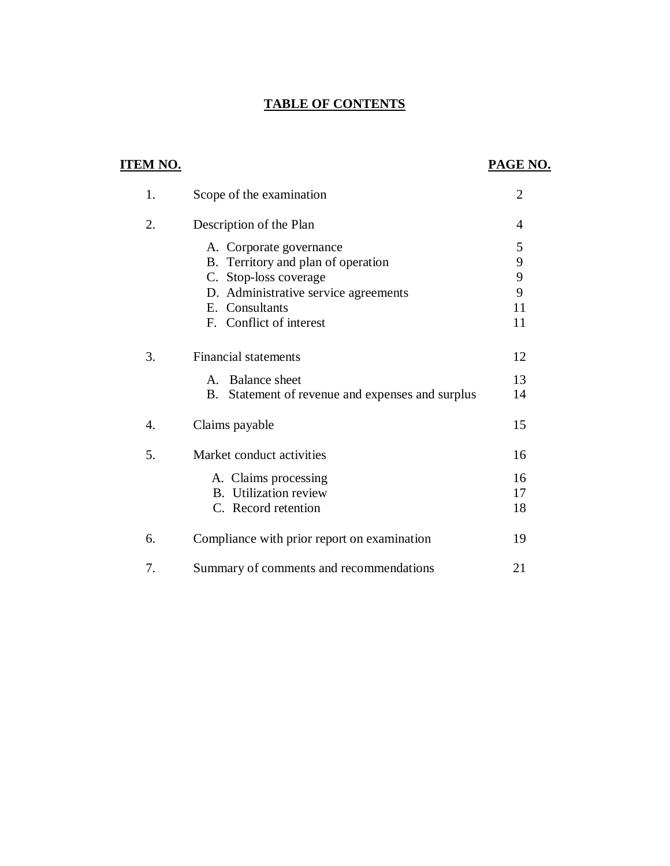## **TABLE OF CONTENTS**

| <b>ITEM NO.</b>  |                                                               | PAGE NO.       |
|------------------|---------------------------------------------------------------|----------------|
| 1.               | Scope of the examination                                      | $\overline{2}$ |
| 2.               | Description of the Plan                                       | 4              |
|                  | A. Corporate governance                                       | 5              |
|                  | B. Territory and plan of operation                            | 9<br>9         |
|                  | C. Stop-loss coverage<br>D. Administrative service agreements | 9              |
|                  | E. Consultants                                                | 11             |
|                  | F. Conflict of interest                                       | 11             |
| 3.               | <b>Financial statements</b>                                   | 12             |
|                  | A. Balance sheet                                              | 13             |
|                  | B. Statement of revenue and expenses and surplus              | 14             |
| $\overline{4}$ . | Claims payable                                                | 15             |
| 5.               | Market conduct activities                                     | 16             |
|                  | A. Claims processing                                          | 16             |
|                  | <b>B.</b> Utilization review                                  | 17             |
|                  | C. Record retention                                           | 18             |
| 6.               | Compliance with prior report on examination                   | 19             |
| 7.               | Summary of comments and recommendations                       | 21             |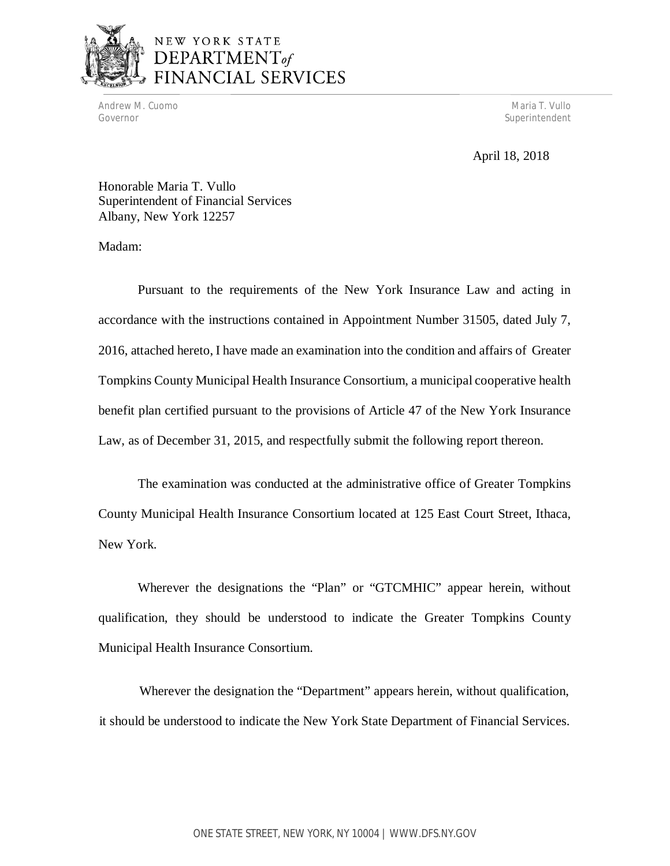

# NEW YORK STATE DEPARTMENT<sub>of</sub><br>FINANCIAL SERVICES

Andrew M. Cuomo National Andrew Maria T. Vullo National Andrew Maria T. Vullo National Andrew Maria T. Vullo Governor Superintendent and Superintendent and Superintendent and Superintendent and Superintendent and Superintendent and Superintendent and Superintendent and Superintendent and Superintendent and Superintendent and Supe

## April 18, 2018

 Honorable Maria T. Vullo Superintendent of Financial Services Albany, New York 12257

Madam:

 Pursuant to the requirements of the New York Insurance Law and acting in accordance with the instructions contained in Appointment Number 31505, dated July 7, 2016, attached hereto, I have made an examination into the condition and affairs of Greater Tompkins County Municipal Health Insurance Consortium, a municipal cooperative health benefit plan certified pursuant to the provisions of Article 47 of the New York Insurance Law, as of December 31, 2015, and respectfully submit the following report thereon.

 The examination was conducted at the administrative office of Greater Tompkins County Municipal Health Insurance Consortium located at 125 East Court Street, Ithaca, New York.

 Wherever the designations the "Plan" or "GTCMHIC" appear herein, without qualification, they should be understood to indicate the Greater Tompkins County Municipal Health Insurance Consortium.

 Wherever the designation the "Department" appears herein, without qualification, it should be understood to indicate the New York State Department of Financial Services.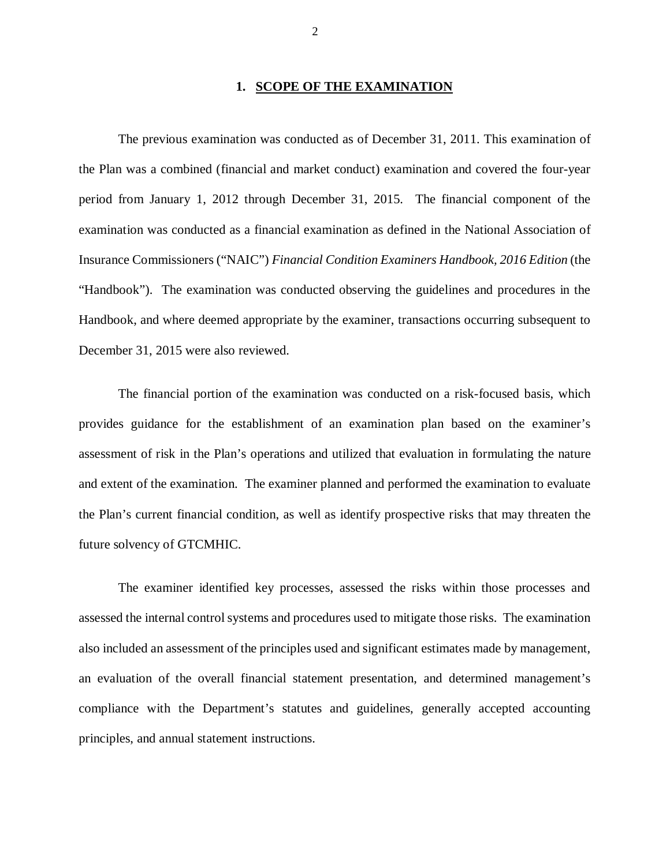### **1. SCOPE OF THE EXAMINATION**

 The previous examination was conducted as of December 31, 2011. This examination of the Plan was a combined (financial and market conduct) examination and covered the four-year period from January 1, 2012 through December 31, 2015. The financial component of the examination was conducted as a financial examination as defined in the National Association of Insurance Commissioners ("NAIC") *Financial Condition Examiners Handbook, 2016 Edition* (the "Handbook"). The examination was conducted observing the guidelines and procedures in the Handbook, and where deemed appropriate by the examiner, transactions occurring subsequent to December 31, 2015 were also reviewed.

 The financial portion of the examination was conducted on a risk-focused basis, which provides guidance for the establishment of an examination plan based on the examiner's assessment of risk in the Plan's operations and utilized that evaluation in formulating the nature and extent of the examination. The examiner planned and performed the examination to evaluate the Plan's current financial condition, as well as identify prospective risks that may threaten the future solvency of GTCMHIC.

 The examiner identified key processes, assessed the risks within those processes and assessed the internal control systems and procedures used to mitigate those risks. The examination also included an assessment of the principles used and significant estimates made by management, an evaluation of the overall financial statement presentation, and determined management's compliance with the Department's statutes and guidelines, generally accepted accounting principles, and annual statement instructions.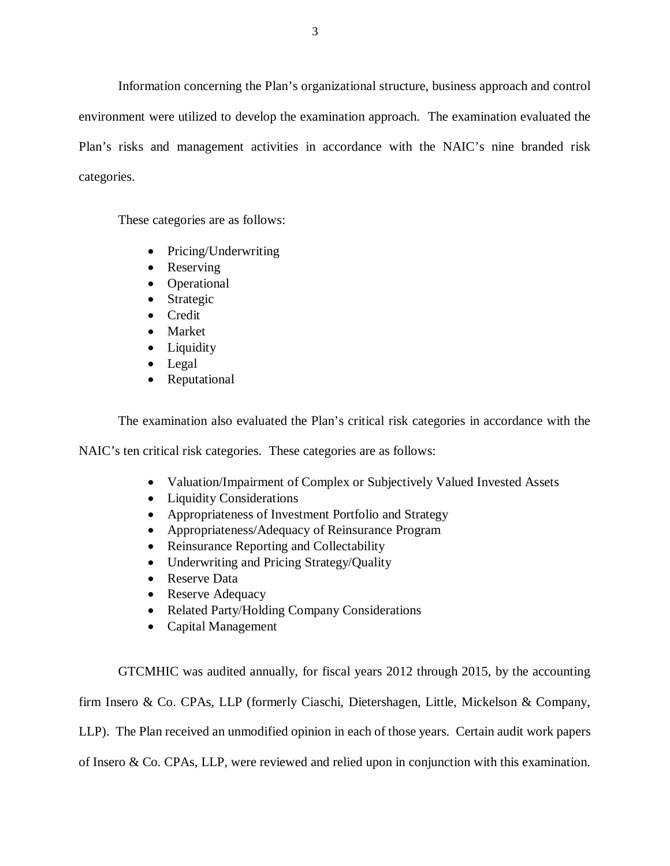Information concerning the Plan's organizational structure, business approach and control environment were utilized to develop the examination approach. The examination evaluated the Plan's risks and management activities in accordance with the NAIC's nine branded risk categories.

These categories are as follows:

- Pricing/Underwriting
- Reserving
- Operational
- Strategic
- Credit
- Market
- Liquidity
- Legal
- Reputational

The examination also evaluated the Plan's critical risk categories in accordance with the

NAIC's ten critical risk categories. These categories are as follows:

- Valuation/Impairment of Complex or Subjectively Valued Invested Assets
- Liquidity Considerations
- Appropriateness of Investment Portfolio and Strategy
- Appropriateness/Adequacy of Reinsurance Program
- Reinsurance Reporting and Collectability
- Underwriting and Pricing Strategy/Quality
- Reserve Data
- Reserve Adequacy
- Related Party/Holding Company Considerations
- Capital Management

GTCMHIC was audited annually, for fiscal years 2012 through 2015, by the accounting

firm Insero & Co. CPAs, LLP (formerly Ciaschi, Dietershagen, Little, Mickelson & Company,

LLP). The Plan received an unmodified opinion in each of those years. Certain audit work papers

of Insero & Co. CPAs, LLP, were reviewed and relied upon in conjunction with this examination.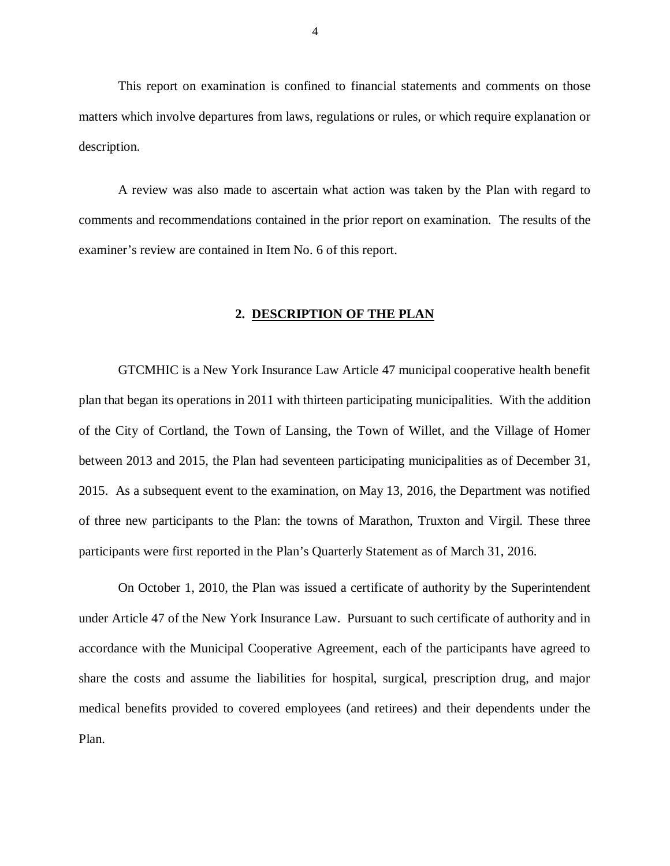This report on examination is confined to financial statements and comments on those matters which involve departures from laws, regulations or rules, or which require explanation or description.

 A review was also made to ascertain what action was taken by the Plan with regard to comments and recommendations contained in the prior report on examination. The results of the examiner's review are contained in Item No. 6 of this report.

### **2. DESCRIPTION OF THE PLAN**

 GTCMHIC is a New York Insurance Law Article 47 municipal cooperative health benefit plan that began its operations in 2011 with thirteen participating municipalities. With the addition of the City of Cortland, the Town of Lansing, the Town of Willet, and the Village of Homer between 2013 and 2015, the Plan had seventeen participating municipalities as of December 31, 2015. As a subsequent event to the examination, on May 13, 2016, the Department was notified of three new participants to the Plan: the towns of Marathon, Truxton and Virgil. These three participants were first reported in the Plan's Quarterly Statement as of March 31, 2016.

 On October 1, 2010, the Plan was issued a certificate of authority by the Superintendent under Article 47 of the New York Insurance Law. Pursuant to such certificate of authority and in accordance with the Municipal Cooperative Agreement, each of the participants have agreed to share the costs and assume the liabilities for hospital, surgical, prescription drug, and major medical benefits provided to covered employees (and retirees) and their dependents under the Plan.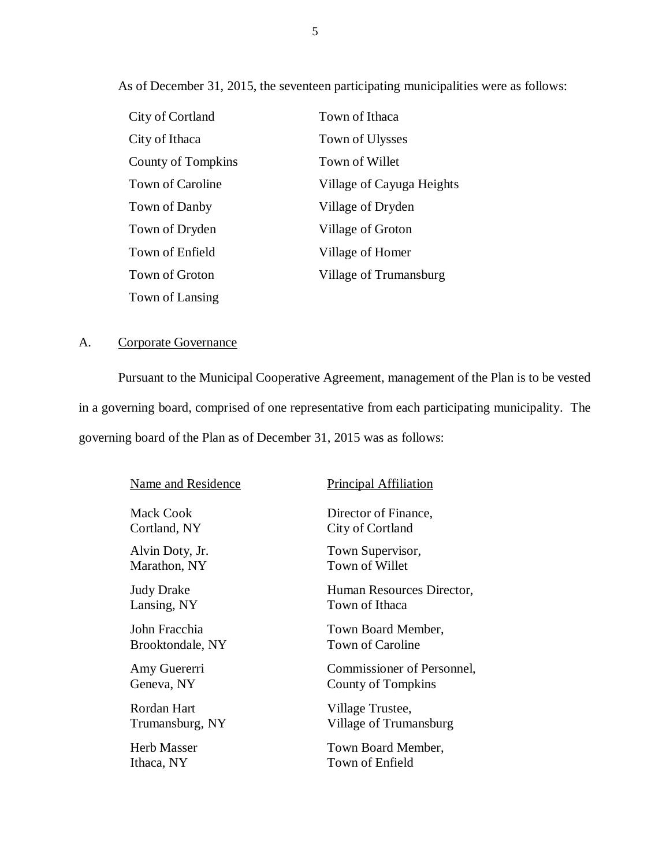As of December 31, 2015, the seventeen participating municipalities were as follows:

| City of Cortland        | Town of Ithaca            |
|-------------------------|---------------------------|
| City of Ithaca          | Town of Ulysses           |
| County of Tompkins      | Town of Willet            |
| <b>Town of Caroline</b> | Village of Cayuga Heights |
| Town of Danby           | Village of Dryden         |
| Town of Dryden          | Village of Groton         |
| Town of Enfield         | Village of Homer          |
| Town of Groton          | Village of Trumansburg    |
| Town of Lansing         |                           |

### A. Corporate Governance

 Pursuant to the Municipal Cooperative Agreement, management of the Plan is to be vested in a governing board, comprised of one representative from each participating municipality. The governing board of the Plan as of December 31, 2015 was as follows:

| Name and Residence | <b>Principal Affiliation</b> |
|--------------------|------------------------------|
| Mack Cook          | Director of Finance,         |
| Cortland, NY       | City of Cortland             |
| Alvin Doty, Jr.    | Town Supervisor,             |
| Marathon, NY       | Town of Willet               |
| Judy Drake         | Human Resources Director,    |
| Lansing, NY        | Town of Ithaca               |
| John Fracchia      | Town Board Member,           |
| Brooktondale, NY   | Town of Caroline             |
| Amy Guererri       | Commissioner of Personnel,   |
| Geneva, NY         | County of Tompkins           |
| Rordan Hart        | Village Trustee,             |
| Trumansburg, NY    | Village of Trumansburg       |
| Herb Masser        | Town Board Member,           |
| Ithaca, NY         | Town of Enfield              |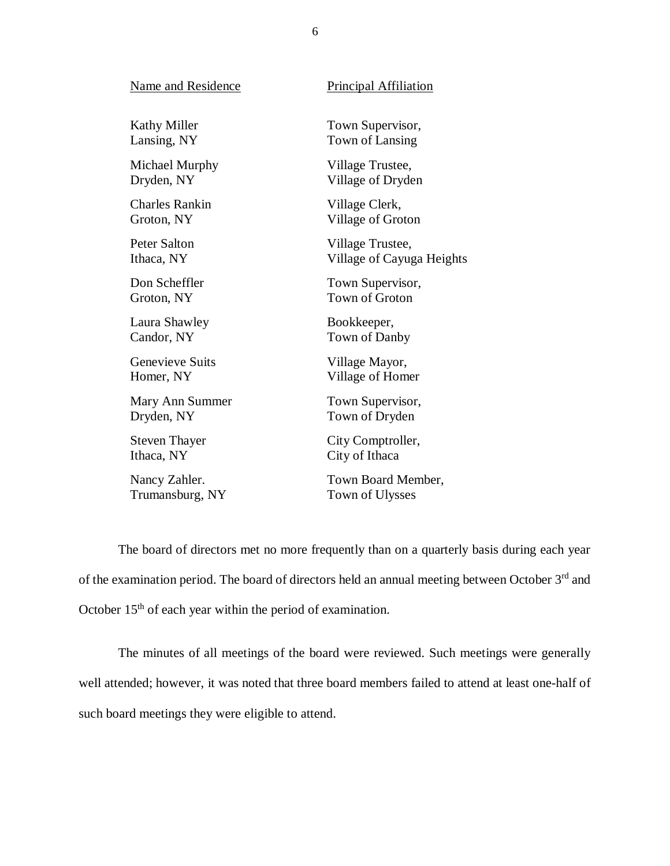| Name and Residence    | <b>Principal Affiliation</b> |
|-----------------------|------------------------------|
| <b>Kathy Miller</b>   | Town Supervisor,             |
| Lansing, NY           | Town of Lansing              |
| Michael Murphy        | Village Trustee,             |
| Dryden, NY            | Village of Dryden            |
| <b>Charles Rankin</b> | Village Clerk,               |
| Groton, NY            | Village of Groton            |
| <b>Peter Salton</b>   | Village Trustee,             |
| Ithaca, NY            | Village of Cayuga Heights    |
| Don Scheffler         | Town Supervisor,             |
| Groton, NY            | <b>Town of Groton</b>        |
| Laura Shawley         | Bookkeeper,                  |
| Candor, NY            | Town of Danby                |
| Genevieve Suits       | Village Mayor,               |
| Homer, NY             | Village of Homer             |
| Mary Ann Summer       | Town Supervisor,             |
| Dryden, NY            | Town of Dryden               |
| <b>Steven Thayer</b>  | City Comptroller,            |
| Ithaca, NY            | City of Ithaca               |
| Nancy Zahler.         | Town Board Member,           |
| Trumansburg, NY       | Town of Ulysses              |

of the examination period. The board of directors held an annual meeting between October 3rd and October  $15<sup>th</sup>$  of each year within the period of examination. The board of directors met no more frequently than on a quarterly basis during each year

 The minutes of all meetings of the board were reviewed. Such meetings were generally well attended; however, it was noted that three board members failed to attend at least one-half of such board meetings they were eligible to attend.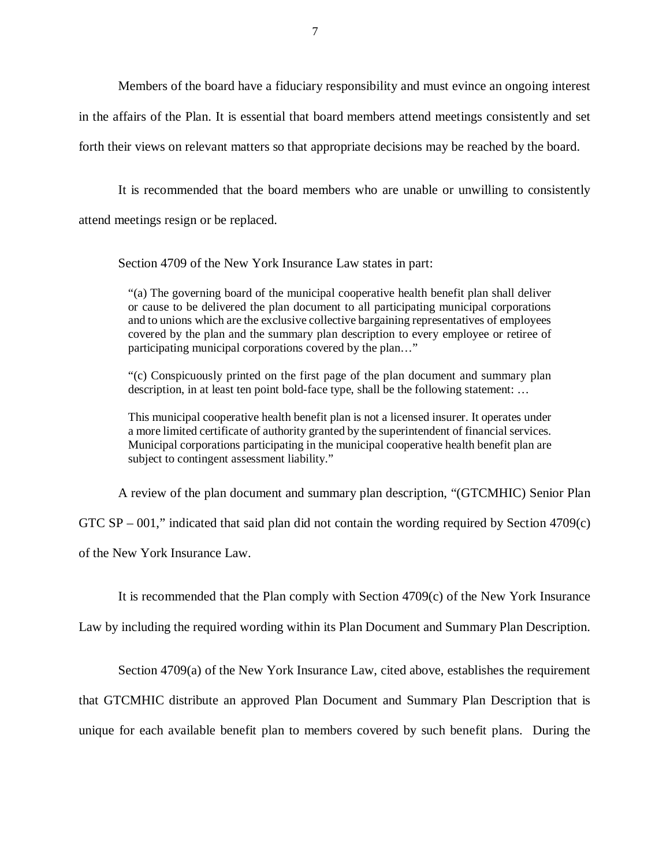Members of the board have a fiduciary responsibility and must evince an ongoing interest in the affairs of the Plan. It is essential that board members attend meetings consistently and set forth their views on relevant matters so that appropriate decisions may be reached by the board.

 It is recommended that the board members who are unable or unwilling to consistently attend meetings resign or be replaced.

Section 4709 of the New York Insurance Law states in part:

 "(a) The governing board of the municipal cooperative health benefit plan shall deliver or cause to be delivered the plan document to all participating municipal corporations and to unions which are the exclusive collective bargaining representatives of employees covered by the plan and the summary plan description to every employee or retiree of participating municipal corporations covered by the plan…"

 "(c) Conspicuously printed on the first page of the plan document and summary plan description, in at least ten point bold-face type, shall be the following statement: …

 This municipal cooperative health benefit plan is not a licensed insurer. It operates under a more limited certificate of authority granted by the superintendent of financial services. Municipal corporations participating in the municipal cooperative health benefit plan are subject to contingent assessment liability."

A review of the plan document and summary plan description, "(GTCMHIC) Senior Plan

GTC SP – 001," indicated that said plan did not contain the wording required by Section 4709(c)

of the New York Insurance Law.

It is recommended that the Plan comply with Section 4709(c) of the New York Insurance

Law by including the required wording within its Plan Document and Summary Plan Description.

Section 4709(a) of the New York Insurance Law, cited above, establishes the requirement

that GTCMHIC distribute an approved Plan Document and Summary Plan Description that is

unique for each available benefit plan to members covered by such benefit plans. During the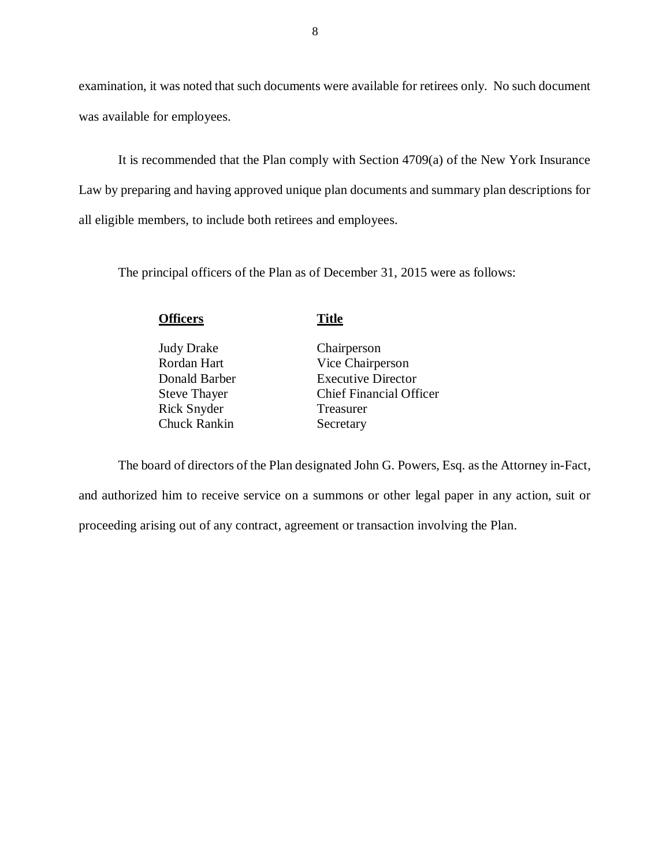examination, it was noted that such documents were available for retirees only. No such document was available for employees.

 It is recommended that the Plan comply with Section 4709(a) of the New York Insurance Law by preparing and having approved unique plan documents and summary plan descriptions for all eligible members, to include both retirees and employees.

The principal officers of the Plan as of December 31, 2015 were as follows:

| Judy Drake<br>Chairperson<br>Rordan Hart<br>Vice Chairperson                        | <b>Officers</b> | <b>Title</b>                                                |
|-------------------------------------------------------------------------------------|-----------------|-------------------------------------------------------------|
| <b>Steve Thayer</b><br>Rick Snyder<br>Treasurer<br><b>Chuck Rankin</b><br>Secretary | Donald Barber   | <b>Executive Director</b><br><b>Chief Financial Officer</b> |
|                                                                                     |                 |                                                             |

 and authorized him to receive service on a summons or other legal paper in any action, suit or proceeding arising out of any contract, agreement or transaction involving the Plan. The board of directors of the Plan designated John G. Powers, Esq. as the Attorney in-Fact,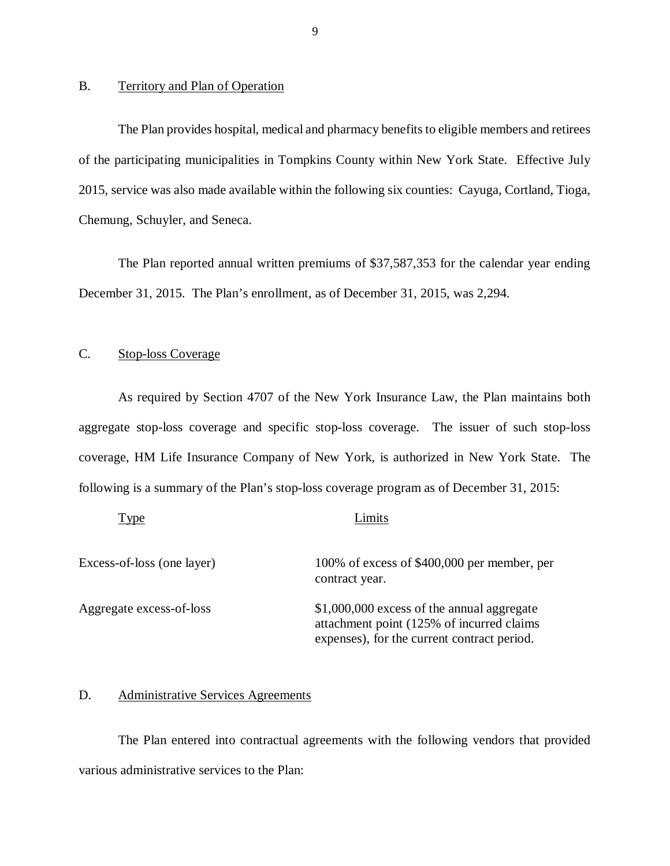## B. Territory and Plan of Operation

 The Plan provides hospital, medical and pharmacy benefits to eligible members and retirees of the participating municipalities in Tompkins County within New York State. Effective July 2015, service was also made available within the following six counties: Cayuga, Cortland, Tioga, Chemung, Schuyler, and Seneca.

 The Plan reported annual written premiums of \$37,587,353 for the calendar year ending December 31, 2015. The Plan's enrollment, as of December 31, 2015, was 2,294.

#### Stop-loss Coverage

 As required by Section 4707 of the New York Insurance Law, the Plan maintains both aggregate stop-loss coverage and specific stop-loss coverage. The issuer of such stop-loss coverage, HM Life Insurance Company of New York, is authorized in New York State. The following is a summary of the Plan's stop-loss coverage program as of December 31, 2015:

| <b>vpe</b>                 | Limits                                                                                                                                  |
|----------------------------|-----------------------------------------------------------------------------------------------------------------------------------------|
| Excess-of-loss (one layer) | 100% of excess of \$400,000 per member, per<br>contract year.                                                                           |
| Aggregate excess-of-loss   | \$1,000,000 excess of the annual aggregate<br>attachment point (125% of incurred claims)<br>expenses), for the current contract period. |

### D. Administrative Services Agreements

 The Plan entered into contractual agreements with the following vendors that provided various administrative services to the Plan: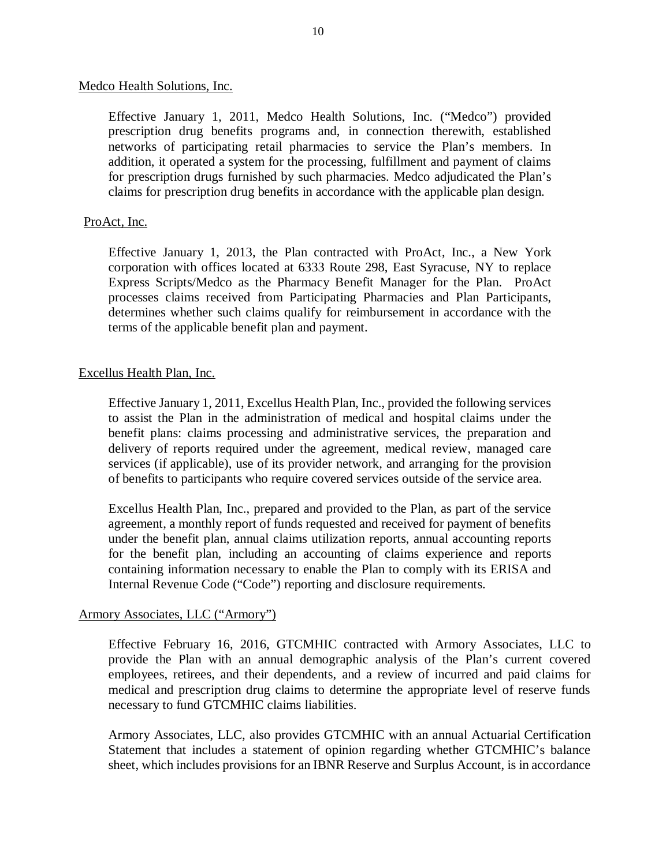## Medco Health Solutions, Inc.

 Effective January 1, 2011, Medco Health Solutions, Inc. ("Medco") provided prescription drug benefits programs and, in connection therewith, established networks of participating retail pharmacies to service the Plan's members. In addition, it operated a system for the processing, fulfillment and payment of claims for prescription drugs furnished by such pharmacies. Medco adjudicated the Plan's claims for prescription drug benefits in accordance with the applicable plan design.

## ProAct, Inc.

 Effective January 1, 2013, the Plan contracted with ProAct, Inc., a New York corporation with offices located at 6333 Route 298, East Syracuse, NY to replace Express Scripts/Medco as the Pharmacy Benefit Manager for the Plan. ProAct processes claims received from Participating Pharmacies and Plan Participants, determines whether such claims qualify for reimbursement in accordance with the terms of the applicable benefit plan and payment.

## Excellus Health Plan, Inc.

 Effective January 1, 2011, Excellus Health Plan, Inc., provided the following services to assist the Plan in the administration of medical and hospital claims under the benefit plans: claims processing and administrative services, the preparation and delivery of reports required under the agreement, medical review, managed care services (if applicable), use of its provider network, and arranging for the provision of benefits to participants who require covered services outside of the service area.

 Excellus Health Plan, Inc., prepared and provided to the Plan, as part of the service agreement, a monthly report of funds requested and received for payment of benefits under the benefit plan, annual claims utilization reports, annual accounting reports for the benefit plan, including an accounting of claims experience and reports containing information necessary to enable the Plan to comply with its ERISA and Internal Revenue Code ("Code") reporting and disclosure requirements.

## Armory Associates, LLC ("Armory")

 Effective February 16, 2016, GTCMHIC contracted with Armory Associates, LLC to provide the Plan with an annual demographic analysis of the Plan's current covered employees, retirees, and their dependents, and a review of incurred and paid claims for medical and prescription drug claims to determine the appropriate level of reserve funds necessary to fund GTCMHIC claims liabilities.

 Armory Associates, LLC, also provides GTCMHIC with an annual Actuarial Certification Statement that includes a statement of opinion regarding whether GTCMHIC's balance sheet, which includes provisions for an IBNR Reserve and Surplus Account, is in accordance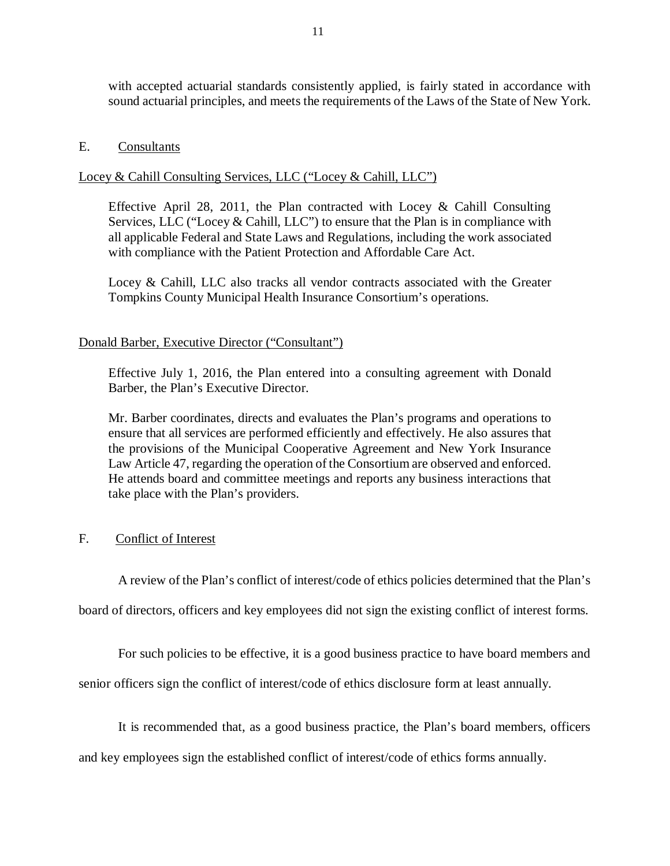with accepted actuarial standards consistently applied, is fairly stated in accordance with sound actuarial principles, and meets the requirements of the Laws of the State of New York.

## E. Consultants

## Locey & Cahill Consulting Services, LLC ("Locey & Cahill, LLC")

 Effective April 28, 2011, the Plan contracted with Locey & Cahill Consulting Services, LLC ("Locey & Cahill, LLC") to ensure that the Plan is in compliance with all applicable Federal and State Laws and Regulations, including the work associated with compliance with the Patient Protection and Affordable Care Act.

 Locey & Cahill, LLC also tracks all vendor contracts associated with the Greater Tompkins County Municipal Health Insurance Consortium's operations.

## Donald Barber, Executive Director ("Consultant")

 Effective July 1, 2016, the Plan entered into a consulting agreement with Donald Barber, the Plan's Executive Director.

 Mr. Barber coordinates, directs and evaluates the Plan's programs and operations to ensure that all services are performed efficiently and effectively. He also assures that the provisions of the Municipal Cooperative Agreement and New York Insurance Law Article 47, regarding the operation of the Consortium are observed and enforced. He attends board and committee meetings and reports any business interactions that take place with the Plan's providers.

#### $F_{\perp}$ Conflict of Interest

A review of the Plan's conflict of interest/code of ethics policies determined that the Plan's

board of directors, officers and key employees did not sign the existing conflict of interest forms.

For such policies to be effective, it is a good business practice to have board members and

senior officers sign the conflict of interest/code of ethics disclosure form at least annually.

It is recommended that, as a good business practice, the Plan's board members, officers

and key employees sign the established conflict of interest/code of ethics forms annually.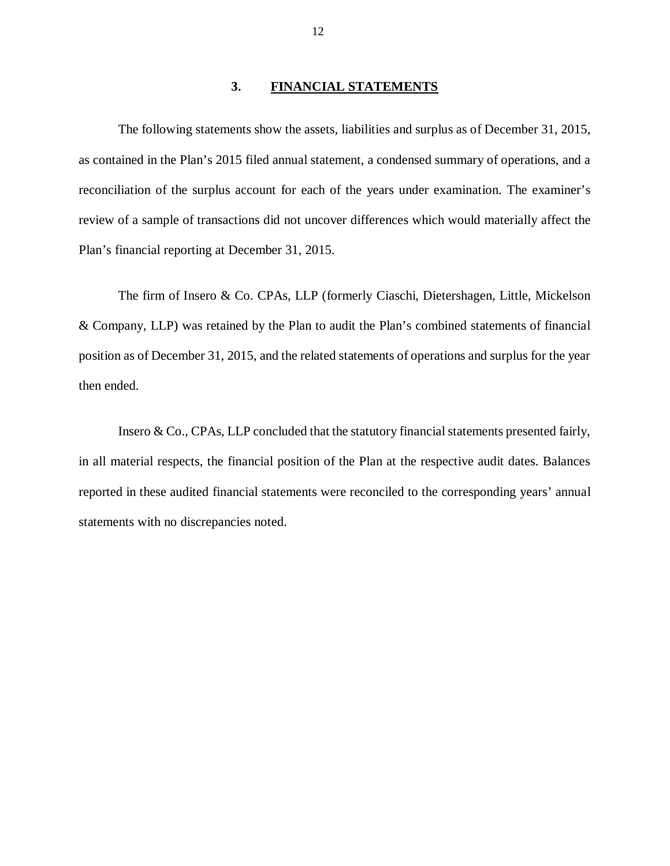### **3. FINANCIAL STATEMENTS**

 The following statements show the assets, liabilities and surplus as of December 31, 2015, as contained in the Plan's 2015 filed annual statement, a condensed summary of operations, and a reconciliation of the surplus account for each of the years under examination. The examiner's review of a sample of transactions did not uncover differences which would materially affect the Plan's financial reporting at December 31, 2015.

 The firm of Insero & Co. CPAs, LLP (formerly Ciaschi, Dietershagen, Little, Mickelson & Company, LLP) was retained by the Plan to audit the Plan's combined statements of financial position as of December 31, 2015, and the related statements of operations and surplus for the year then ended.

 Insero & Co., CPAs, LLP concluded that the statutory financial statements presented fairly, in all material respects, the financial position of the Plan at the respective audit dates. Balances reported in these audited financial statements were reconciled to the corresponding years' annual statements with no discrepancies noted.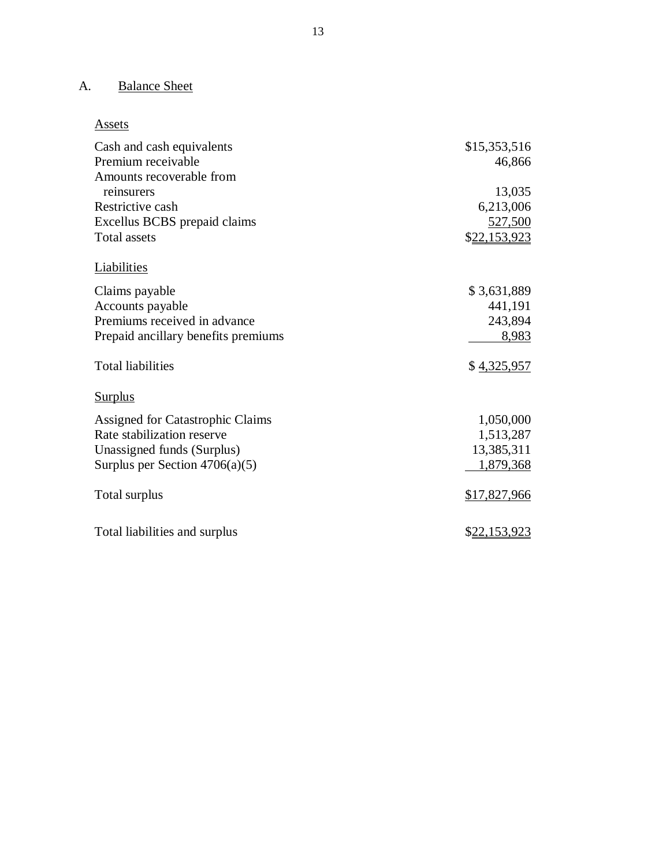#### A. **Balance Sheet**

## Assets

| Cash and cash equivalents           | \$15,353,516        |
|-------------------------------------|---------------------|
| Premium receivable                  | 46,866              |
| Amounts recoverable from            |                     |
| reinsurers                          | 13,035              |
| Restrictive cash                    | 6,213,006           |
| Excellus BCBS prepaid claims        | 527,500             |
| <b>Total assets</b>                 | \$22,153,923        |
| <b>Liabilities</b>                  |                     |
| Claims payable                      | \$3,631,889         |
| Accounts payable                    | 441,191             |
| Premiums received in advance        | 243,894             |
| Prepaid ancillary benefits premiums | 8,983               |
| <b>Total liabilities</b>            | \$4,325,957         |
| <b>Surplus</b>                      |                     |
| Assigned for Catastrophic Claims    | 1,050,000           |
| Rate stabilization reserve          | 1,513,287           |
| Unassigned funds (Surplus)          | 13,385,311          |
| Surplus per Section $4706(a)(5)$    | 1,879,368           |
| Total surplus                       | <u>\$17,827,966</u> |
| Total liabilities and surplus       | \$22,153,923        |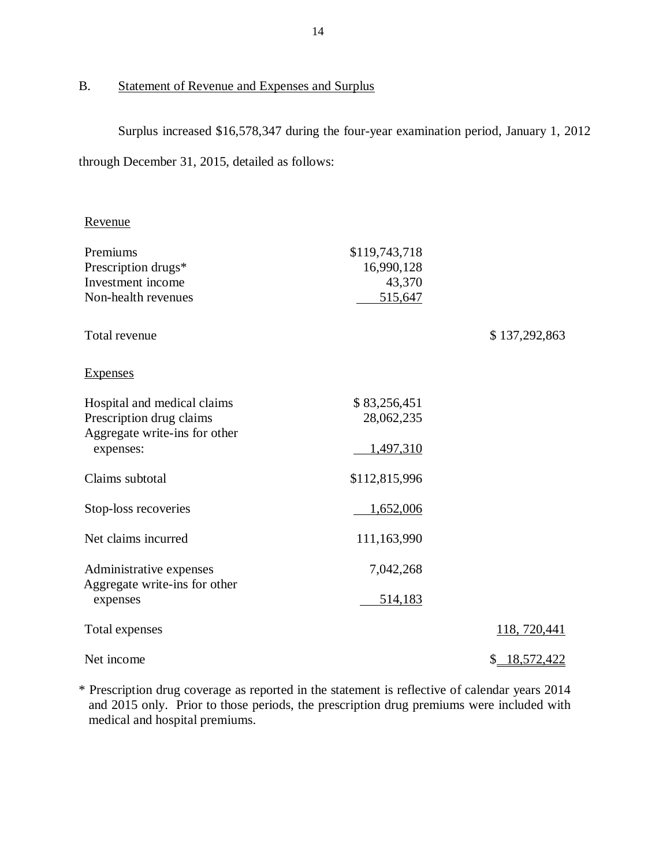#### $B<sub>r</sub>$ Statement of Revenue and Expenses and Surplus

 Surplus increased \$16,578,347 during the four-year examination period, January 1, 2012 through December 31, 2015, detailed as follows:

Revenue

| Premiums                                                 | \$119,743,718 |                  |
|----------------------------------------------------------|---------------|------------------|
| Prescription drugs*                                      | 16,990,128    |                  |
| Investment income                                        | 43,370        |                  |
| Non-health revenues                                      | 515,647       |                  |
| Total revenue                                            |               | \$137,292,863    |
| <b>Expenses</b>                                          |               |                  |
| Hospital and medical claims                              | \$83,256,451  |                  |
| Prescription drug claims                                 | 28,062,235    |                  |
| Aggregate write-ins for other                            |               |                  |
| expenses:                                                | 1,497,310     |                  |
|                                                          |               |                  |
| Claims subtotal                                          | \$112,815,996 |                  |
| Stop-loss recoveries                                     | 1,652,006     |                  |
|                                                          |               |                  |
| Net claims incurred                                      | 111,163,990   |                  |
|                                                          |               |                  |
| Administrative expenses<br>Aggregate write-ins for other | 7,042,268     |                  |
| expenses                                                 | 514,183       |                  |
|                                                          |               |                  |
| Total expenses                                           |               | 118, 720, 441    |
|                                                          |               |                  |
| Net income                                               |               | 18,572,422<br>\$ |

 \* Prescription drug coverage as reported in the statement is reflective of calendar years 2014 and 2015 only. Prior to those periods, the prescription drug premiums were included with medical and hospital premiums.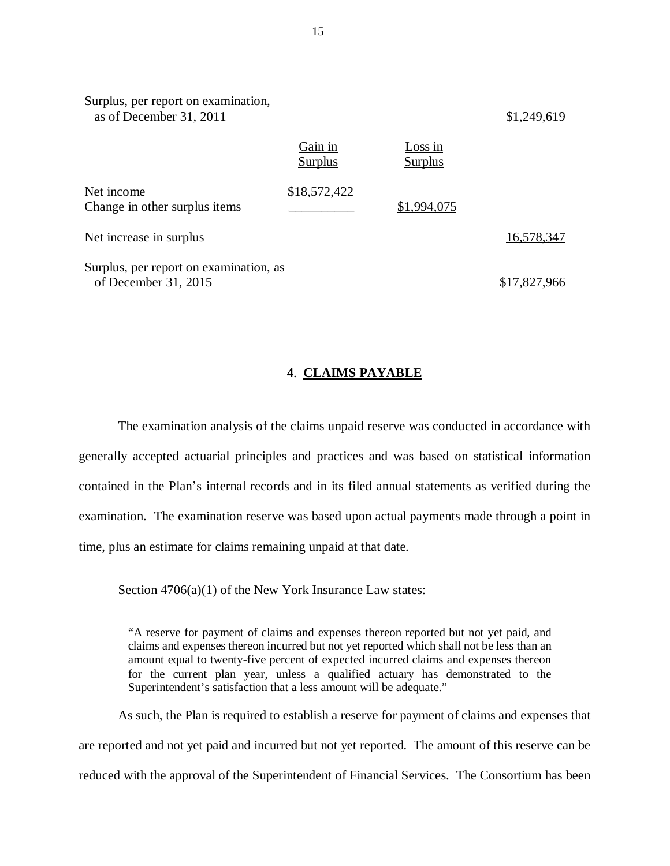| Surplus, per report on examination,<br>as of December 31, 2011 |                    |                    | \$1,249,619  |
|----------------------------------------------------------------|--------------------|--------------------|--------------|
|                                                                | Gain in<br>Surplus | Loss in<br>Surplus |              |
| Net income<br>Change in other surplus items                    | \$18,572,422       | \$1,994,075        |              |
| Net increase in surplus                                        |                    |                    | 16,578,347   |
| Surplus, per report on examination, as<br>of December 31, 2015 |                    |                    | \$17,827,966 |

## **4**. **CLAIMS PAYABLE**

 The examination analysis of the claims unpaid reserve was conducted in accordance with generally accepted actuarial principles and practices and was based on statistical information contained in the Plan's internal records and in its filed annual statements as verified during the examination. The examination reserve was based upon actual payments made through a point in time, plus an estimate for claims remaining unpaid at that date.

Section 4706(a)(1) of the New York Insurance Law states:

 "A reserve for payment of claims and expenses thereon reported but not yet paid, and claims and expenses thereon incurred but not yet reported which shall not be less than an amount equal to twenty-five percent of expected incurred claims and expenses thereon for the current plan year, unless a qualified actuary has demonstrated to the Superintendent's satisfaction that a less amount will be adequate."

 are reported and not yet paid and incurred but not yet reported. The amount of this reserve can be reduced with the approval of the Superintendent of Financial Services. The Consortium has been As such, the Plan is required to establish a reserve for payment of claims and expenses that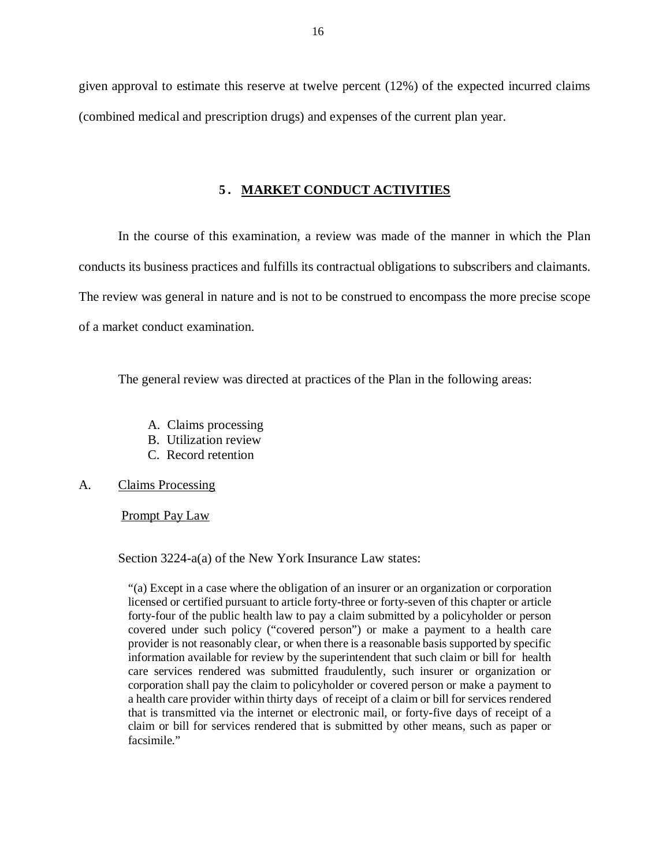given approval to estimate this reserve at twelve percent (12%) of the expected incurred claims (combined medical and prescription drugs) and expenses of the current plan year.

### **5. MARKET CONDUCT ACTIVITIES**

 In the course of this examination, a review was made of the manner in which the Plan conducts its business practices and fulfills its contractual obligations to subscribers and claimants. The review was general in nature and is not to be construed to encompass the more precise scope of a market conduct examination.

The general review was directed at practices of the Plan in the following areas:

- A. Claims processing
- B. Utilization review
- C. Record retention
- $\mathsf{A}$ . Claims Processing

Prompt Pay Law

Section 3224-a(a) of the New York Insurance Law states:

 "(a) Except in a case where the obligation of an insurer or an organization or corporation licensed or certified pursuant to article forty-three or forty-seven of this chapter or article forty-four of the public health law to pay a claim submitted by a policyholder or person covered under such policy ("covered person") or make a payment to a health care provider is not reasonably clear, or when there is a reasonable basis supported by specific information available for review by the superintendent that such claim or bill for health care services rendered was submitted fraudulently, such insurer or organization or corporation shall pay the claim to policyholder or covered person or make a payment to a health care provider within thirty days of receipt of a claim or bill for services rendered that is transmitted via the internet or electronic mail, or forty-five days of receipt of a claim or bill for services rendered that is submitted by other means, such as paper or facsimile."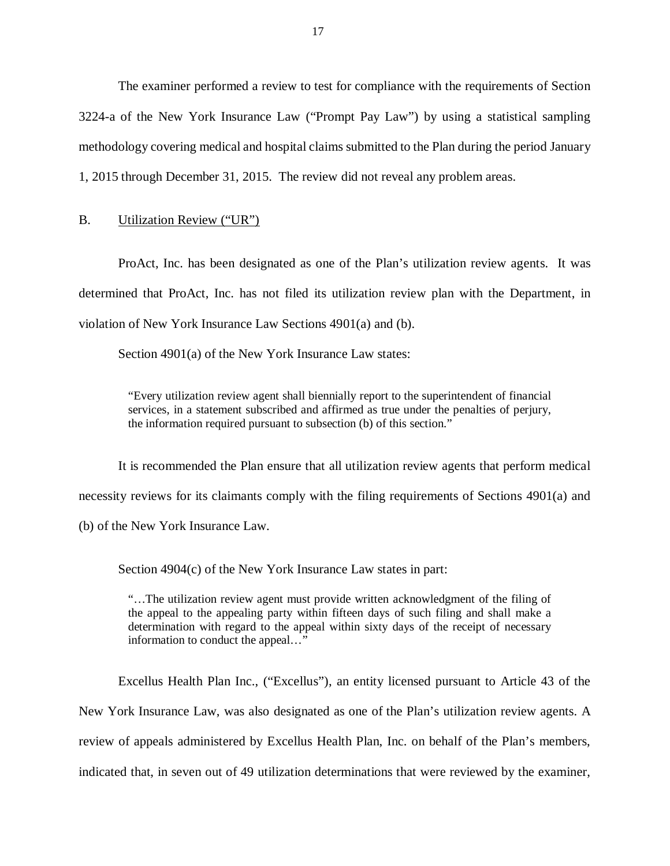The examiner performed a review to test for compliance with the requirements of Section 3224-a of the New York Insurance Law ("Prompt Pay Law") by using a statistical sampling methodology covering medical and hospital claims submitted to the Plan during the period January 1, 2015 through December 31, 2015. The review did not reveal any problem areas.

### B. Utilization Review ("UR")

 ProAct, Inc. has been designated as one of the Plan's utilization review agents. It was determined that ProAct, Inc. has not filed its utilization review plan with the Department, in violation of New York Insurance Law Sections 4901(a) and (b).

Section 4901(a) of the New York Insurance Law states:

 "Every utilization review agent shall biennially report to the superintendent of financial services, in a statement subscribed and affirmed as true under the penalties of perjury, the information required pursuant to subsection (b) of this section."

 It is recommended the Plan ensure that all utilization review agents that perform medical necessity reviews for its claimants comply with the filing requirements of Sections 4901(a) and (b) of the New York Insurance Law.

Section 4904(c) of the New York Insurance Law states in part:

 "…The utilization review agent must provide written acknowledgment of the filing of the appeal to the appealing party within fifteen days of such filing and shall make a determination with regard to the appeal within sixty days of the receipt of necessary information to conduct the appeal…"

 Excellus Health Plan Inc., ("Excellus"), an entity licensed pursuant to Article 43 of the New York Insurance Law, was also designated as one of the Plan's utilization review agents. A review of appeals administered by Excellus Health Plan, Inc. on behalf of the Plan's members, indicated that, in seven out of 49 utilization determinations that were reviewed by the examiner,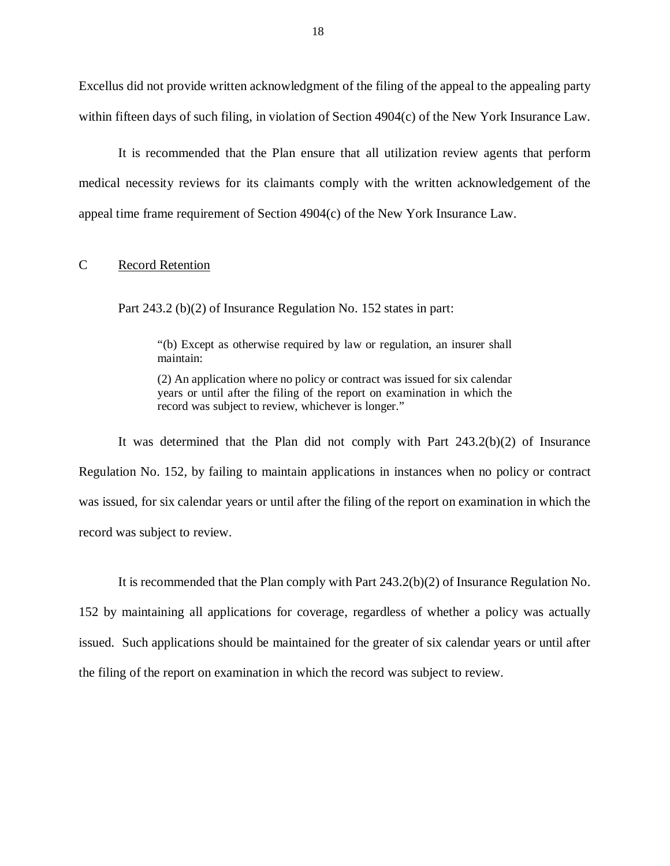Excellus did not provide written acknowledgment of the filing of the appeal to the appealing party within fifteen days of such filing, in violation of Section 4904(c) of the New York Insurance Law.

 It is recommended that the Plan ensure that all utilization review agents that perform medical necessity reviews for its claimants comply with the written acknowledgement of the appeal time frame requirement of Section 4904(c) of the New York Insurance Law.

#### C Record Retention

Part 243.2 (b)(2) of Insurance Regulation No. 152 states in part:

 "(b) Except as otherwise required by law or regulation, an insurer shall maintain:

 (2) An application where no policy or contract was issued for six calendar years or until after the filing of the report on examination in which the record was subject to review, whichever is longer."

 It was determined that the Plan did not comply with Part 243.2(b)(2) of Insurance Regulation No. 152, by failing to maintain applications in instances when no policy or contract was issued, for six calendar years or until after the filing of the report on examination in which the record was subject to review.

It is recommended that the Plan comply with Part 243.2(b)(2) of Insurance Regulation No.

 152 by maintaining all applications for coverage, regardless of whether a policy was actually issued. Such applications should be maintained for the greater of six calendar years or until after the filing of the report on examination in which the record was subject to review.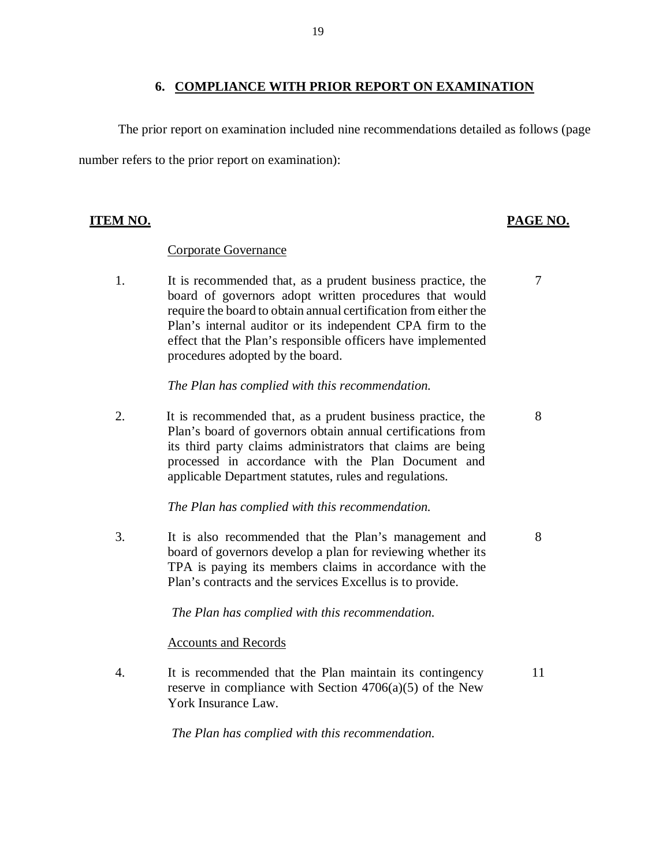## **6. COMPLIANCE WITH PRIOR REPORT ON EXAMINATION**

 number refers to the prior report on examination): The prior report on examination included nine recommendations detailed as follows (page

## **ITEM NO. PAGE NO.**

## Corporate Governance

 $\mathbf{1}$ . board of governors adopt written procedures that would require the board to obtain annual certification from either the Plan's internal auditor or its independent CPA firm to the effect that the Plan's responsible officers have implemented procedures adopted by the board. It is recommended that, as a prudent business practice, the

 *The Plan has complied with this recommendation.* 

2. Plan's board of governors obtain annual certifications from its third party claims administrators that claims are being processed in accordance with the Plan Document and applicable Department statutes, rules and regulations. It is recommended that, as a prudent business practice, the

## *The Plan has complied with this recommendation.*

 $\overline{3}$ . board of governors develop a plan for reviewing whether its TPA is paying its members claims in accordance with the Plan's contracts and the services Excellus is to provide. It is also recommended that the Plan's management and 8

 *The Plan has complied with this recommendation.* 

## Accounts and Records

 $\overline{4}$ . reserve in compliance with Section 4706(a)(5) of the New York Insurance Law. It is recommended that the Plan maintain its contingency 11

 *The Plan has complied with this recommendation.* 

7

8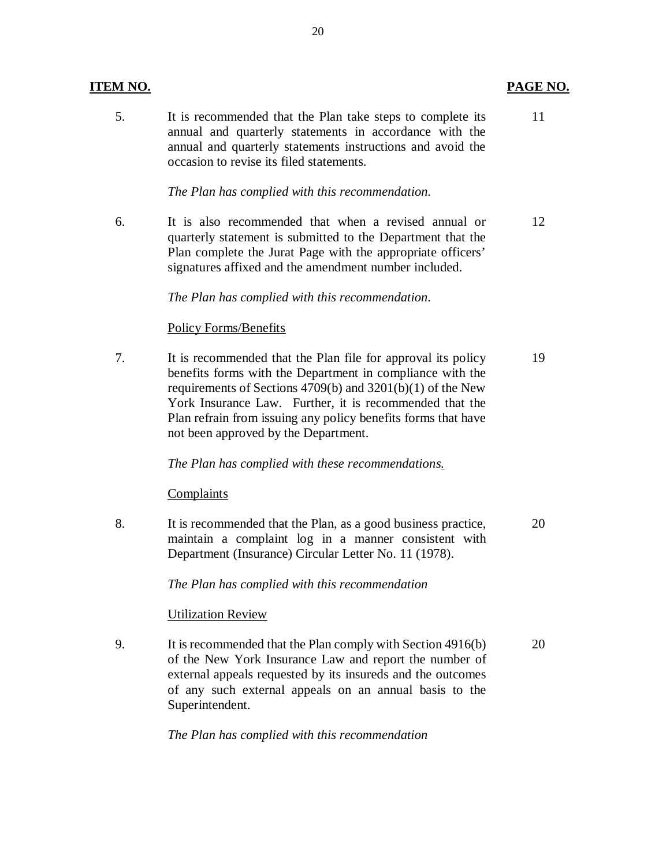## **ITEM NO.**

 $5<sub>1</sub>$  annual and quarterly statements in accordance with the annual and quarterly statements instructions and avoid the occasion to revise its filed statements. It is recommended that the Plan take steps to complete its 11

## *The Plan has complied with this recommendation.*

6. quarterly statement is submitted to the Department that the Plan complete the Jurat Page with the appropriate officers' signatures affixed and the amendment number included. It is also recommended that when a revised annual or 12

## *The Plan has complied with this recommendation.*

## Policy Forms/Benefits

 $7.$  benefits forms with the Department in compliance with the requirements of Sections 4709(b) and 3201(b)(1) of the New York Insurance Law. Further, it is recommended that the Plan refrain from issuing any policy benefits forms that have not been approved by the Department. It is recommended that the Plan file for approval its policy 19

## *The Plan has complied with these recommendations.*

### Complaints

8. maintain a complaint log in a manner consistent with Department (Insurance) Circular Letter No. 11 (1978). It is recommended that the Plan, as a good business practice, 20

 *The Plan has complied with this recommendation* 

## Utilization Review

 $9<sub>1</sub>$  of the New York Insurance Law and report the number of external appeals requested by its insureds and the outcomes of any such external appeals on an annual basis to the It is recommended that the Plan comply with Section 4916(b) 20 Superintendent.

 *The Plan has complied with this recommendation* 

## 20

## PAGE NO.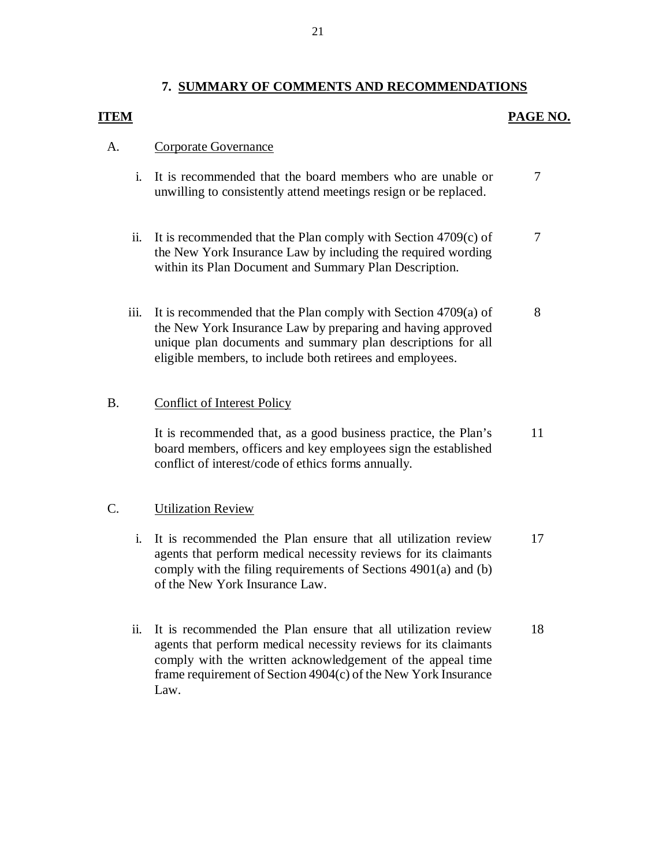## **7. SUMMARY OF COMMENTS AND RECOMMENDATIONS**

## **ITEM** PAGE NO.

## A. Corporate Governance

- i. It is recommended that the board members who are unable or unwilling to consistently attend meetings resign or be replaced. 7
- ii. It is recommended that the Plan comply with Section 4709(c) of the New York Insurance Law by including the required wording within its Plan Document and Summary Plan Description. 7
- iii. It is recommended that the Plan comply with Section 4709(a) of the New York Insurance Law by preparing and having approved unique plan documents and summary plan descriptions for all eligible members, to include both retirees and employees. 8

## B. Conflict of Interest Policy

 It is recommended that, as a good business practice, the Plan's board members, officers and key employees sign the established conflict of interest/code of ethics forms annually. 11

## C. **Utilization Review**

- i. It is recommended the Plan ensure that all utilization review agents that perform medical necessity reviews for its claimants comply with the filing requirements of Sections 4901(a) and (b) of the New York Insurance Law. 17
- ii. It is recommended the Plan ensure that all utilization review agents that perform medical necessity reviews for its claimants comply with the written acknowledgement of the appeal time frame requirement of Section 4904(c) of the New York Insurance Law. 18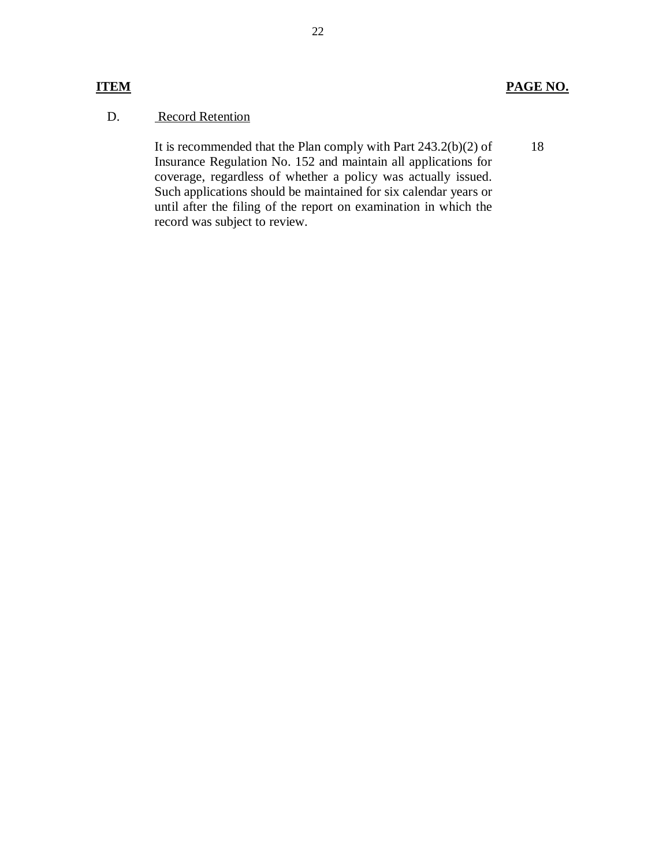## **ITEM PAGE NO.**

18

#### D. **Record Retention**

 It is recommended that the Plan comply with Part 243.2(b)(2) of Insurance Regulation No. 152 and maintain all applications for coverage, regardless of whether a policy was actually issued. Such applications should be maintained for six calendar years or until after the filing of the report on examination in which the record was subject to review.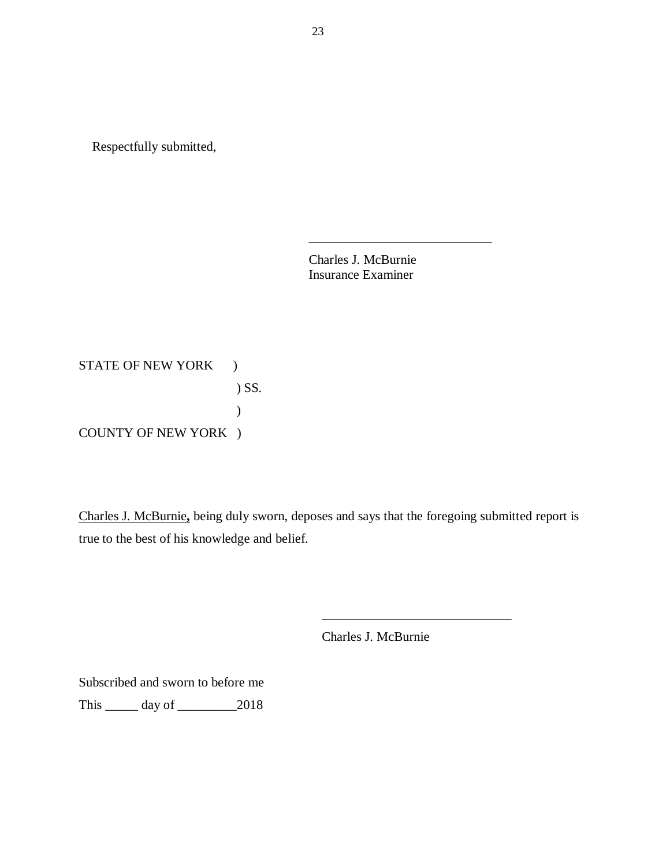Respectfully submitted,

Charles J. McBurnie Insurance Examiner

\_\_\_\_\_\_\_\_\_\_\_\_\_\_\_\_\_\_\_\_\_\_\_\_\_\_\_\_

STATE OF NEW YORK ) COUNTY OF NEW YORK ) ) SS. )

 Charles J. McBurnie**,** being duly sworn, deposes and says that the foregoing submitted report is true to the best of his knowledge and belief.

Charles J. McBurnie

\_\_\_\_\_\_\_\_\_\_\_\_\_\_\_\_\_\_\_\_\_\_\_\_\_\_\_\_\_

 Subscribed and sworn to before me This \_\_\_\_\_ day of \_\_\_\_\_\_\_\_\_2018